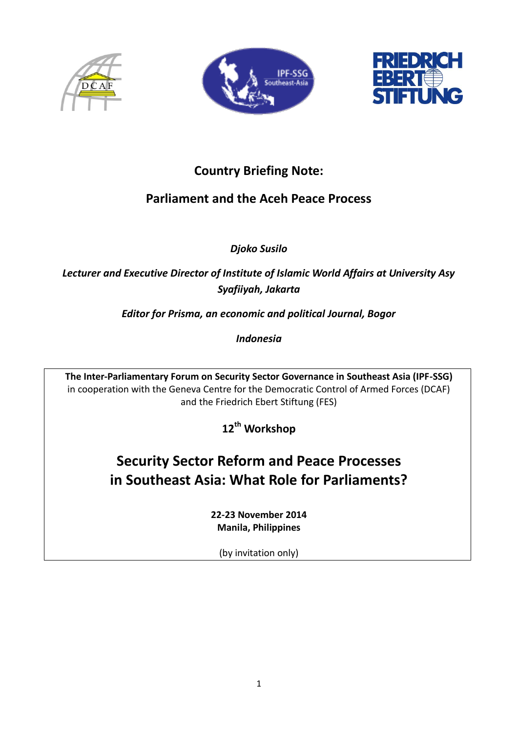





## **Country Briefing Note:**

## **Parliament and the Aceh Peace Process**

*Djoko Susilo*

*Lecturer and Executive Director of Institute of Islamic World Affairs at University Asy Syafiiyah, Jakarta* 

*Editor for Prisma, an economic and political Journal, Bogor* 

*Indonesia*

**The Inter-Parliamentary Forum on Security Sector Governance in Southeast Asia (IPF-SSG)** in cooperation with the Geneva Centre for the Democratic Control of Armed Forces (DCAF) and the Friedrich Ebert Stiftung (FES)

**12th Workshop**

# **Security Sector Reform and Peace Processes in Southeast Asia: What Role for Parliaments?**

**22-23 November 2014 Manila, Philippines**

(by invitation only)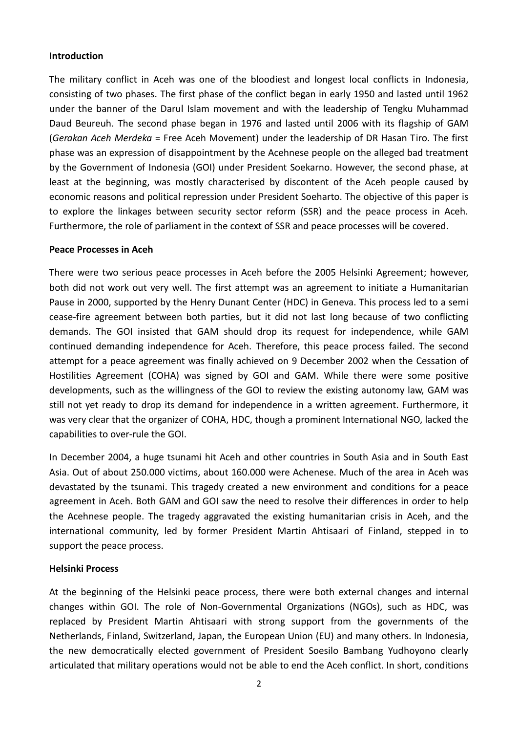#### **Introduction**

The military conflict in Aceh was one of the bloodiest and longest local conflicts in Indonesia, consisting of two phases. The first phase of the conflict began in early 1950 and lasted until 1962 under the banner of the Darul Islam movement and with the leadership of Tengku Muhammad Daud Beureuh. The second phase began in 1976 and lasted until 2006 with its flagship of GAM (*Gerakan Aceh Merdeka* = Free Aceh Movement) under the leadership of DR Hasan Tiro. The first phase was an expression of disappointment by the Acehnese people on the alleged bad treatment by the Government of Indonesia (GOI) under President Soekarno. However, the second phase, at least at the beginning, was mostly characterised by discontent of the Aceh people caused by economic reasons and political repression under President Soeharto. The objective of this paper is to explore the linkages between security sector reform (SSR) and the peace process in Aceh. Furthermore, the role of parliament in the context of SSR and peace processes will be covered.

#### **Peace Processes in Aceh**

There were two serious peace processes in Aceh before the 2005 Helsinki Agreement; however, both did not work out very well. The first attempt was an agreement to initiate a Humanitarian Pause in 2000, supported by the Henry Dunant Center (HDC) in Geneva. This process led to a semi cease-fire agreement between both parties, but it did not last long because of two conflicting demands. The GOI insisted that GAM should drop its request for independence, while GAM continued demanding independence for Aceh. Therefore, this peace process failed. The second attempt for a peace agreement was finally achieved on 9 December 2002 when the Cessation of Hostilities Agreement (COHA) was signed by GOI and GAM. While there were some positive developments, such as the willingness of the GOI to review the existing autonomy law, GAM was still not yet ready to drop its demand for independence in a written agreement. Furthermore, it was very clear that the organizer of COHA, HDC, though a prominent International NGO, lacked the capabilities to over-rule the GOI.

In December 2004, a huge tsunami hit Aceh and other countries in South Asia and in South East Asia. Out of about 250.000 victims, about 160.000 were Achenese. Much of the area in Aceh was devastated by the tsunami. This tragedy created a new environment and conditions for a peace agreement in Aceh. Both GAM and GOI saw the need to resolve their differences in order to help the Acehnese people. The tragedy aggravated the existing humanitarian crisis in Aceh, and the international community, led by former President Martin Ahtisaari of Finland, stepped in to support the peace process.

#### **Helsinki Process**

At the beginning of the Helsinki peace process, there were both external changes and internal changes within GOI. The role of Non-Governmental Organizations (NGOs), such as HDC, was replaced by President Martin Ahtisaari with strong support from the governments of the Netherlands, Finland, Switzerland, Japan, the European Union (EU) and many others. In Indonesia, the new democratically elected government of President Soesilo Bambang Yudhoyono clearly articulated that military operations would not be able to end the Aceh conflict. In short, conditions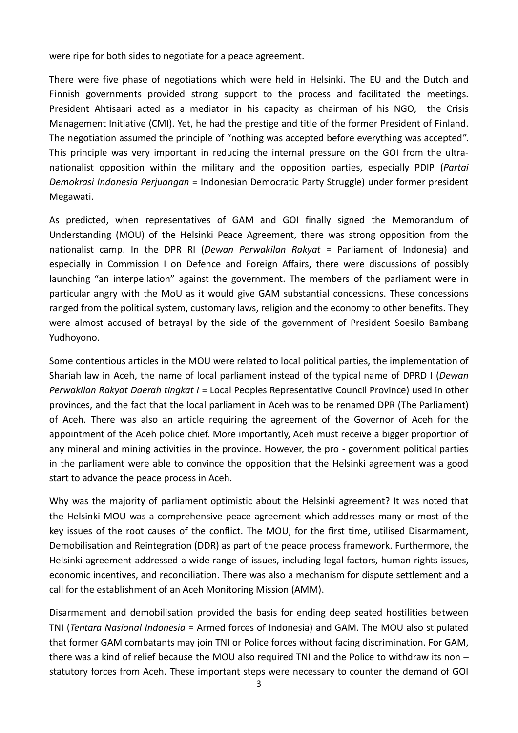were ripe for both sides to negotiate for a peace agreement.

There were five phase of negotiations which were held in Helsinki. The EU and the Dutch and Finnish governments provided strong support to the process and facilitated the meetings. President Ahtisaari acted as a mediator in his capacity as chairman of his NGO, the Crisis Management Initiative (CMI). Yet, he had the prestige and title of the former President of Finland. The negotiation assumed the principle of "nothing was accepted before everything was accepted". This principle was very important in reducing the internal pressure on the GOI from the ultranationalist opposition within the military and the opposition parties, especially PDIP (*Partai Demokrasi Indonesia Perjuangan* = Indonesian Democratic Party Struggle) under former president Megawati.

As predicted, when representatives of GAM and GOI finally signed the Memorandum of Understanding (MOU) of the Helsinki Peace Agreement, there was strong opposition from the nationalist camp. In the DPR RI (*Dewan Perwakilan Rakyat* = Parliament of Indonesia) and especially in Commission I on Defence and Foreign Affairs, there were discussions of possibly launching "an interpellation" against the government. The members of the parliament were in particular angry with the MoU as it would give GAM substantial concessions. These concessions ranged from the political system, customary laws, religion and the economy to other benefits. They were almost accused of betrayal by the side of the government of President Soesilo Bambang Yudhoyono.

Some contentious articles in the MOU were related to local political parties, the implementation of Shariah law in Aceh, the name of local parliament instead of the typical name of DPRD I (*Dewan Perwakilan Rakyat Daerah tingkat I* = Local Peoples Representative Council Province) used in other provinces, and the fact that the local parliament in Aceh was to be renamed DPR (The Parliament) of Aceh. There was also an article requiring the agreement of the Governor of Aceh for the appointment of the Aceh police chief. More importantly, Aceh must receive a bigger proportion of any mineral and mining activities in the province. However, the pro - government political parties in the parliament were able to convince the opposition that the Helsinki agreement was a good start to advance the peace process in Aceh.

Why was the majority of parliament optimistic about the Helsinki agreement? It was noted that the Helsinki MOU was a comprehensive peace agreement which addresses many or most of the key issues of the root causes of the conflict. The MOU, for the first time, utilised Disarmament, Demobilisation and Reintegration (DDR) as part of the peace process framework. Furthermore, the Helsinki agreement addressed a wide range of issues, including legal factors, human rights issues, economic incentives, and reconciliation. There was also a mechanism for dispute settlement and a call for the establishment of an Aceh Monitoring Mission (AMM).

Disarmament and demobilisation provided the basis for ending deep seated hostilities between TNI (*Tentara Nasional Indonesia* = Armed forces of Indonesia) and GAM. The MOU also stipulated that former GAM combatants may join TNI or Police forces without facing discrimination. For GAM, there was a kind of relief because the MOU also required TNI and the Police to withdraw its non – statutory forces from Aceh. These important steps were necessary to counter the demand of GOI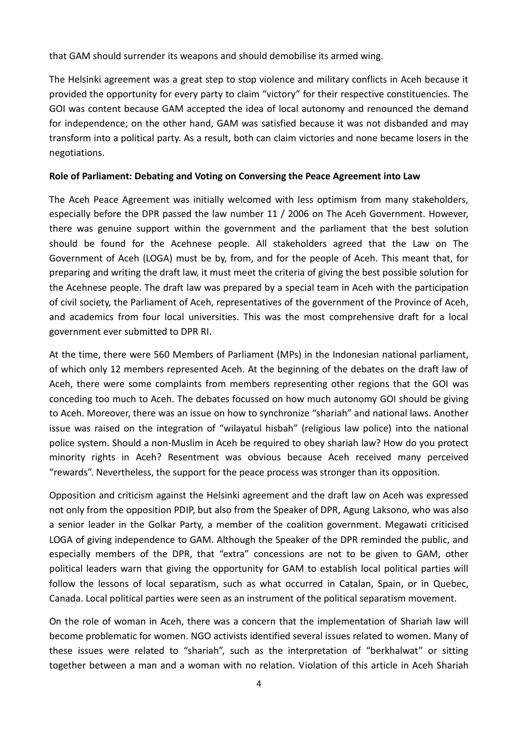that GAM should surrender its weapons and should demobilise its armed wing.

The Helsinki agreement was a great step to stop violence and military conflicts in Aceh because it provided the opportunity for every party to claim "victory" for their respective constituencies. The GOI was content because GAM accepted the idea of local autonomy and renounced the demand for independence; on the other hand, GAM was satisfied because it was not disbanded and may transform into a political party. As a result, both can claim victories and none became losers in the negotiations.

### **Role of Parliament: Debating and Voting on Conversing the Peace Agreement into Law**

The Aceh Peace Agreement was initially welcomed with less optimism from many stakeholders, especially before the DPR passed the law number 11 / 2006 on The Aceh Government. However, there was genuine support within the government and the parliament that the best solution should be found for the Acehnese people. All stakeholders agreed that the Law on The Government of Aceh (LOGA) must be by, from, and for the people of Aceh. This meant that, for preparing and writing the draft law, it must meet the criteria of giving the best possible solution for the Acehnese people. The draft law was prepared by a special team in Aceh with the participation of civil society, the Parliament of Aceh, representatives of the government of the Province of Aceh, and academics from four local universities. This was the most comprehensive draft for a local government ever submitted to DPR RI.

At the time, there were 560 Members of Parliament (MPs) in the Indonesian national parliament, of which only 12 members represented Aceh. At the beginning of the debates on the draft law of Aceh, there were some complaints from members representing other regions that the GOI was conceding too much to Aceh. The debates focussed on how much autonomy GOI should be giving to Aceh. Moreover, there was an issue on how to synchronize "shariah" and national laws. Another issue was raised on the integration of "wilayatul hisbah" (religious law police) into the national police system. Should a non-Muslim in Aceh be required to obey shariah law? How do you protect minority rights in Aceh? Resentment was obvious because Aceh received many perceived "rewards". Nevertheless, the support for the peace process was stronger than its opposition.

Opposition and criticism against the Helsinki agreement and the draft law on Aceh was expressed not only from the opposition PDIP, but also from the Speaker of DPR, Agung Laksono, who was also a senior leader in the Golkar Party, a member of the coalition government. Megawati criticised LOGA of giving independence to GAM. Although the Speaker of the DPR reminded the public, and especially members of the DPR, that "extra" concessions are not to be given to GAM, other political leaders warn that giving the opportunity for GAM to establish local political parties will follow the lessons of local separatism, such as what occurred in Catalan, Spain, or in Quebec, Canada. Local political parties were seen as an instrument of the political separatism movement.

On the role of woman in Aceh, there was a concern that the implementation of Shariah law will become problematic for women. NGO activists identified several issues related to women. Many of these issues were related to "shariah", such as the interpretation of "berkhalwat" or sitting together between a man and a woman with no relation. Violation of this article in Aceh Shariah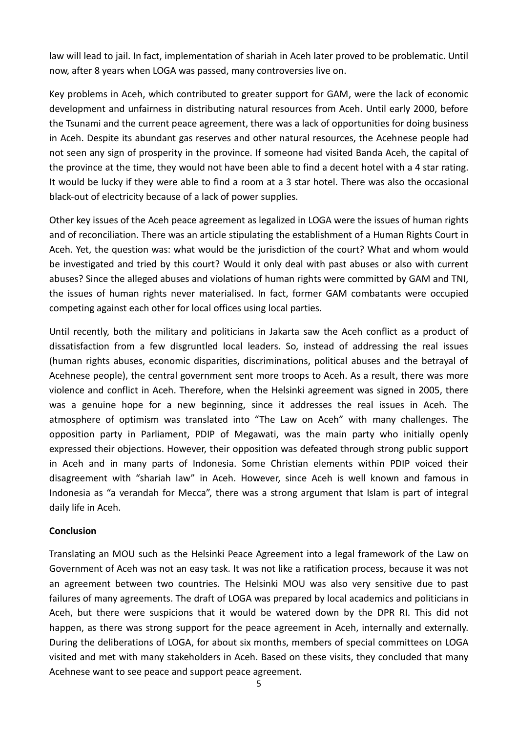law will lead to jail. In fact, implementation of shariah in Aceh later proved to be problematic. Until now, after 8 years when LOGA was passed, many controversies live on.

Key problems in Aceh, which contributed to greater support for GAM, were the lack of economic development and unfairness in distributing natural resources from Aceh. Until early 2000, before the Tsunami and the current peace agreement, there was a lack of opportunities for doing business in Aceh. Despite its abundant gas reserves and other natural resources, the Acehnese people had not seen any sign of prosperity in the province. If someone had visited Banda Aceh, the capital of the province at the time, they would not have been able to find a decent hotel with a 4 star rating. It would be lucky if they were able to find a room at a 3 star hotel. There was also the occasional black-out of electricity because of a lack of power supplies.

Other key issues of the Aceh peace agreement as legalized in LOGA were the issues of human rights and of reconciliation. There was an article stipulating the establishment of a Human Rights Court in Aceh. Yet, the question was: what would be the jurisdiction of the court? What and whom would be investigated and tried by this court? Would it only deal with past abuses or also with current abuses? Since the alleged abuses and violations of human rights were committed by GAM and TNI, the issues of human rights never materialised. In fact, former GAM combatants were occupied competing against each other for local offices using local parties.

Until recently, both the military and politicians in Jakarta saw the Aceh conflict as a product of dissatisfaction from a few disgruntled local leaders. So, instead of addressing the real issues (human rights abuses, economic disparities, discriminations, political abuses and the betrayal of Acehnese people), the central government sent more troops to Aceh. As a result, there was more violence and conflict in Aceh. Therefore, when the Helsinki agreement was signed in 2005, there was a genuine hope for a new beginning, since it addresses the real issues in Aceh. The atmosphere of optimism was translated into "The Law on Aceh" with many challenges. The opposition party in Parliament, PDIP of Megawati, was the main party who initially openly expressed their objections. However, their opposition was defeated through strong public support in Aceh and in many parts of Indonesia. Some Christian elements within PDIP voiced their disagreement with "shariah law" in Aceh. However, since Aceh is well known and famous in Indonesia as "a verandah for Mecca", there was a strong argument that Islam is part of integral daily life in Aceh.

#### **Conclusion**

Translating an MOU such as the Helsinki Peace Agreement into a legal framework of the Law on Government of Aceh was not an easy task. It was not like a ratification process, because it was not an agreement between two countries. The Helsinki MOU was also very sensitive due to past failures of many agreements. The draft of LOGA was prepared by local academics and politicians in Aceh, but there were suspicions that it would be watered down by the DPR RI. This did not happen, as there was strong support for the peace agreement in Aceh, internally and externally. During the deliberations of LOGA, for about six months, members of special committees on LOGA visited and met with many stakeholders in Aceh. Based on these visits, they concluded that many Acehnese want to see peace and support peace agreement.